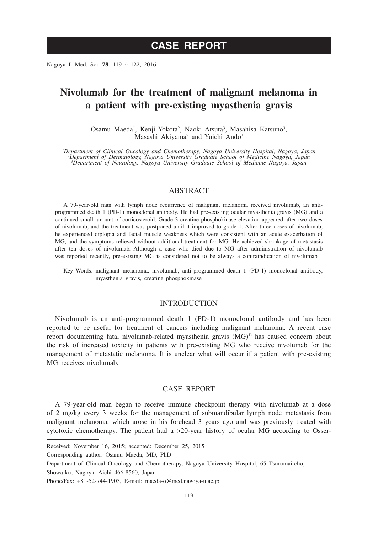# **CASE REPORT**

Nagoya J. Med. Sci. **78**. 119 ~ 122, 2016

# **Nivolumab for the treatment of malignant melanoma in a patient with pre-existing myasthenia gravis**

Osamu Maeda<sup>1</sup>, Kenji Yokota<sup>2</sup>, Naoki Atsuta<sup>3</sup>, Masahisa Katsuno<sup>3</sup>, Masashi Akiyama<sup>2</sup> and Yuichi Ando<sup>1</sup>

*1 Department of Clinical Oncology and Chemotherapy, Nagoya University Hospital, Nagoya, Japan <sup>2</sup> Department of Dermatology, Nagoya University Graduate School of Medicine Nagoya, Japan 3 Department of Neurology, Nagoya University Graduate School of Medicine Nagoya, Japan*

### ABSTRACT

A 79-year-old man with lymph node recurrence of malignant melanoma received nivolumab, an antiprogrammed death 1 (PD-1) monoclonal antibody. He had pre-existing ocular myasthenia gravis (MG) and a continued small amount of corticosteroid. Grade 3 creatine phosphokinase elevation appeared after two doses of nivolumab, and the treatment was postponed until it improved to grade 1. After three doses of nivolumab, he experienced diplopia and facial muscle weakness which were consistent with an acute exacerbation of MG, and the symptoms relieved without additional treatment for MG. He achieved shrinkage of metastasis after ten doses of nivolumab. Although a case who died due to MG after administration of nivolumab was reported recently, pre-existing MG is considered not to be always a contraindication of nivolumab.

Key Words: malignant melanoma, nivolumab, anti-programmed death 1 (PD-1) monoclonal antibody, myasthenia gravis, creatine phosphokinase

## INTRODUCTION

Nivolumab is an anti-programmed death 1 (PD-1) monoclonal antibody and has been reported to be useful for treatment of cancers including malignant melanoma. A recent case report documenting fatal nivolumab-related myasthenia gravis  $(MG)^{1}$  has caused concern about the risk of increased toxicity in patients with pre-existing MG who receive nivolumab for the management of metastatic melanoma. It is unclear what will occur if a patient with pre-existing MG receives nivolumab.

### CASE REPORT

A 79-year-old man began to receive immune checkpoint therapy with nivolumab at a dose of 2 mg/kg every 3 weeks for the management of submandibular lymph node metastasis from malignant melanoma, which arose in his forehead 3 years ago and was previously treated with cytotoxic chemotherapy. The patient had a  $>20$ -year history of ocular MG according to Osser-

Corresponding author: Osamu Maeda, MD, PhD

Received: November 16, 2015; accepted: December 25, 2015

Department of Clinical Oncology and Chemotherapy, Nagoya University Hospital, 65 Tsurumai-cho,

Showa-ku, Nagoya, Aichi 466-8560, Japan

Phone/Fax: +81-52-744-1903, E-mail: maeda-o@med.nagoya-u.ac.jp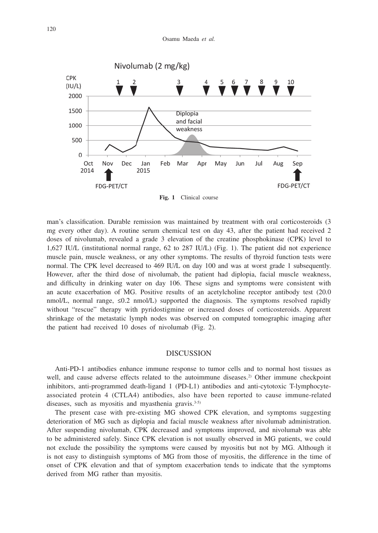

**Fig. 1** Clinical course

man's classification. Durable remission was maintained by treatment with oral corticosteroids (3) mg every other day). A routine serum chemical test on day 43, after the patient had received 2 doses of nivolumab, revealed a grade 3 elevation of the creatine phosphokinase (CPK) level to 1,627 IU/L (institutional normal range, 62 to 287 IU/L) (Fig. 1). The patient did not experience muscle pain, muscle weakness, or any other symptoms. The results of thyroid function tests were normal. The CPK level decreased to 469 IU/L on day 100 and was at worst grade 1 subsequently. However, after the third dose of nivolumab, the patient had diplopia, facial muscle weakness, and difficulty in drinking water on day 106. These signs and symptoms were consistent with an acute exacerbation of MG. Positive results of an acetylcholine receptor antibody test (20.0 nmol/L, normal range,  $\leq 0.2$  nmol/L) supported the diagnosis. The symptoms resolved rapidly without "rescue" therapy with pyridostigmine or increased doses of corticosteroids. Apparent shrinkage of the metastatic lymph nodes was observed on computed tomographic imaging after the patient had received 10 doses of nivolumab (Fig. 2).

#### DISCUSSION

Anti-PD-1 antibodies enhance immune response to tumor cells and to normal host tissues as well, and cause adverse effects related to the autoimmune diseases.<sup>2)</sup> Other immune checkpoint inhibitors, anti-programmed death-ligand 1 (PD-L1) antibodies and anti-cytotoxic T-lymphocyteassociated protein 4 (CTLA4) antibodies, also have been reported to cause immune-related diseases, such as myositis and myasthenia gravis. $3-5$ )

The present case with pre-existing MG showed CPK elevation, and symptoms suggesting deterioration of MG such as diplopia and facial muscle weakness after nivolumab administration. After suspending nivolumab, CPK decreased and symptoms improved, and nivolumab was able to be administered safely. Since CPK elevation is not usually observed in MG patients, we could not exclude the possibility the symptoms were caused by myositis but not by MG. Although it is not easy to distinguish symptoms of MG from those of myositis, the difference in the time of onset of CPK elevation and that of symptom exacerbation tends to indicate that the symptoms derived from MG rather than myositis.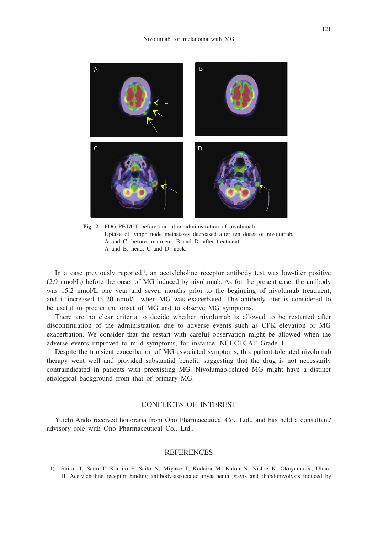

**Fig. 2** FDG-PET/CT before and after administration of nivolumab Uptake of lymph node metastases decreased after ten doses of nivolumab. A and C: before treatment. B and D: after treatment. A and B: head. C and D: neck.

In a case previously reported<sup>1)</sup>, an acetylcholine receptor antibody test was low-titer positive (2.9 nmol/L) before the onset of MG induced by nivolumab. As for the present case, the antibody was 15.2 nmol/L one year and seven months prior to the beginning of nivolumab treatment, and it increased to 20 nmol/L when MG was exacerbated. The antibody titer is considered to be useful to predict the onset of MG and to observe MG symptoms.

There are no clear criteria to decide whether nivolumab is allowed to be restarted after discontinuation of the administration due to adverse events such as CPK elevation or MG exacerbation. We consider that the restart with careful observation might be allowed when the adverse events improved to mild symptoms, for instance, NCI-CTCAE Grade 1.

Despite the transient exacerbation of MG-associated symptoms, this patient-tolerated nivolumab therapy went well and provided substantial benefit, suggesting that the drug is not necessarily contraindicated in patients with preexisting MG. Nivolumab-related MG might have a distinct etiological background from that of primary MG.

## CONFLICTS OF INTEREST

Yuichi Ando received honoraria from Ono Pharmaceutical Co., Ltd., and has held a consultant/ advisory role with Ono Pharmaceutical Co., Ltd..

#### REFERENCES

1) Shirai T, Sano T, Kamijo F, Saito N, Miyake T, Kodaira M, Katoh N, Nishie K, Okuyama R, Uhara H. Acetylcholine receptor binding antibody-associated myasthenia gravis and rhabdomyolysis induced by